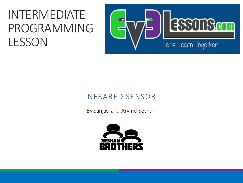#### INTERMEDIATE PROGRAMMING LESSON



#### INFRARED SENSOR

By Sanjay and Arvind Seshan

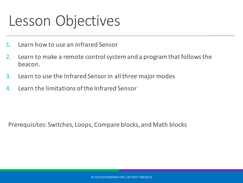#### Lesson Objectives

- 1. Learn how to use an Infrared Sensor
- 2. Learn to make a remote control system and a program that follows the beacon.
- 3. Learn to use the Infrared Sensor in all three major modes
- 4. Learn the limitations of the Infrared Sensor

Prerequisites: Switches, Loops, Compare blocks, and Math blocks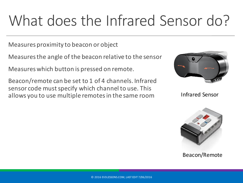# What does the Infrared Sensor do?

Measures proximity to beacon or object

Measures the angle of the beacon relative to the sensor

Measures which button is pressed on remote.

Beacon/remote can be set to 1 of 4 channels. Infrared sensor code must specify which channel to use. This allows you to use multiple remotes in the same room



Infrared Sensor



Beacon/Remote

© 2016 EV3LESSONS.COM, LAST EDIT 7/06/2016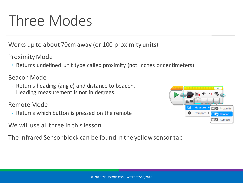### Three Modes

Works up to about 70cm away (or 100 proximity units)

**Proximity Mode** 

• Returns undefined unit type called proximity (not inches or centimeters)

Beacon Mode

◦ Returns heading (angle) and distance to beacon. Heading measurement is not in degrees.

Remote Mode

- Returns which button is pressed on the remote
- We will use all three in this lesson

The Infrared Sensor block can be found in the yellow sensor tab

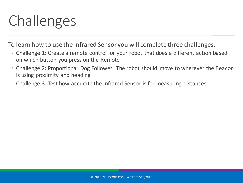## Challenges

To learn how to use the Infrared Sensor you will complete three challenges:

- Challenge 1: Create a remote control for your robot that does a different action based on which button you press on the Remote
- Challenge 2: Proportional Dog Follower: The robot should move to wherever the Beacon is using proximity and heading
- Challenge 3: Test how accurate the Infrared Sensor is for measuring distances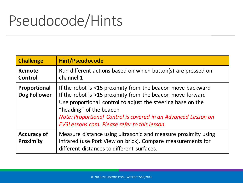### Pseudocode/Hints

| <b>Challenge</b>                       | <b>Hint/Pseudocode</b>                                                                                                                                                                                                                                                                                                                |
|----------------------------------------|---------------------------------------------------------------------------------------------------------------------------------------------------------------------------------------------------------------------------------------------------------------------------------------------------------------------------------------|
| Remote<br>Control                      | Run different actions based on which button(s) are pressed on<br>channel 1                                                                                                                                                                                                                                                            |
| Proportional<br>Dog Follower           | If the robot is <15 proximity from the beacon move backward<br>If the robot is >15 proximity from the beacon move forward<br>Use proportional control to adjust the steering base on the<br>"heading" of the beacon<br>Note: Proportional Control is covered in an Advanced Lesson on<br>EV3Lessons.com. Please refer to this lesson. |
| <b>Accuracy of</b><br><b>Proximity</b> | Measure distance using ultrasonic and measure proximity using<br>infrared (use Port View on brick). Compare measurements for<br>different distances to different surfaces.                                                                                                                                                            |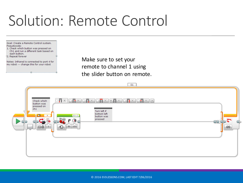#### Solution: Remote Control

Goal: Create a Remote Control system. Pseudocode:

- 1. Check which button was pressed on Ch1 and run a different task based on each button.
- <sup>1</sup>2. Repeat forever

Notes: Infrared is connected to port 4 for my robot --- change this for your robot

Make sure to set your remote to channel 1 using the slider button on remote.

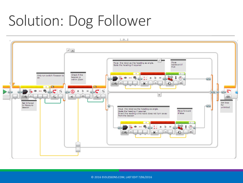### Solution: Dog Follower



© 2016 EV3LESSONS.COM, LAST EDIT 7/06/2016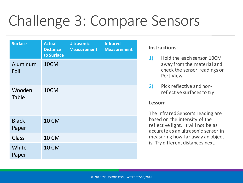## Challenge 3: Compare Sensors

| <b>Surface</b>         | <b>Actual</b><br><b>Distance</b><br>to Surface | <b>Ultrasonic</b><br><b>Measurement</b> | <b>Infrared</b><br><b>Measurement</b> |
|------------------------|------------------------------------------------|-----------------------------------------|---------------------------------------|
| Aluminum<br>Foil       | 10CM                                           |                                         |                                       |
| Wooden<br><b>Table</b> | 10CM                                           |                                         |                                       |
| <b>Black</b><br>Paper  | <b>10 CM</b>                                   |                                         |                                       |
| Glass                  | <b>10 CM</b>                                   |                                         |                                       |
| White<br>Paper         | <b>10 CM</b>                                   |                                         |                                       |

#### **Instructions:**

- 1) Hold the each sensor 10CM away from the material and check the sensor readings on Port View
- 2) Pick reflective and nonreflective surfaces to try

#### Lesson:

The Infrared Sensor's reading are based on the intensity of the reflective light. It will not be as accurate as an ultrasonic sensor in measuring how far away an object is. Try different distances next.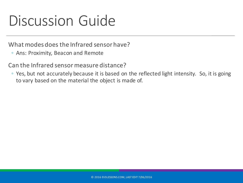#### Discussion Guide

What modes does the Infrared sensor have?

◦ Ans: Proximity, Beacon and Remote

Can the Infrared sensor measure distance?

◦ Yes, but not accurately because it is based on the reflected light intensity. So, it is going to vary based on the material the object is made of.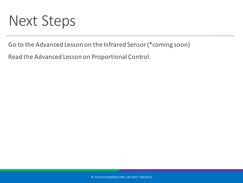#### **Next Steps**

Go to the Advanced Lesson on the Infrared Sensor (\*coming soon)

Read the Advanced Lesson on Proportional Control.